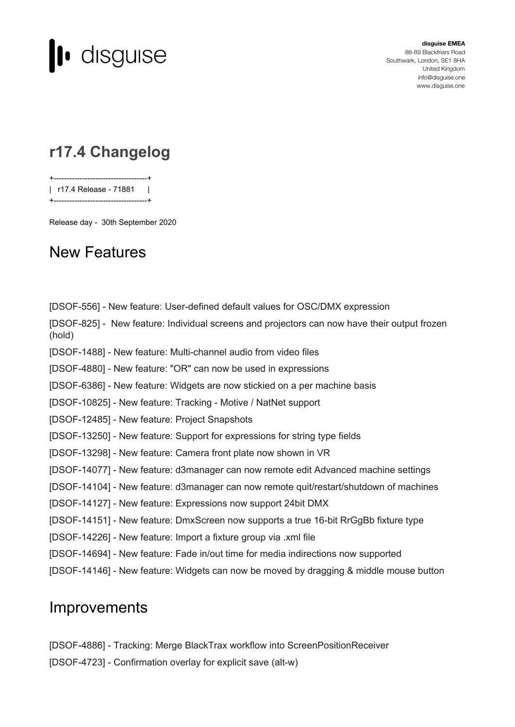

**disguise EMEA** 88-89 Blackfriars Road Southwark, London, SE1 8HA United Kingdom [info@disguise.one](mailto:info@disguise.one?subject=) www.disguise.one

## **r17.4 Changelog**

+------------------------------------+ | r17.4 Release - 71881 | +------------------------------------+

Release day - 30th September 2020

## New Features

[DSOF-556] - New feature: User-defined default values for OSC/DMX expression [DSOF-825] - New feature: Individual screens and projectors can now have their output frozen (hold) [DSOF-1488] - New feature: Multi-channel audio from video files [DSOF-4880] - New feature: "OR" can now be used in expressions [DSOF-6386] - New feature: Widgets are now stickied on a per machine basis [DSOF-10825] - New feature: Tracking - Motive / NatNet support [DSOF-12485] - New feature: Project Snapshots [DSOF-13250] - New feature: Support for expressions for string type fields [DSOF-13298] - New feature: Camera front plate now shown in VR [DSOF-14077] - New feature: d3manager can now remote edit Advanced machine settings [DSOF-14104] - New feature: d3manager can now remote quit/restart/shutdown of machines [DSOF-14127] - New feature: Expressions now support 24bit DMX [DSOF-14151] - New feature: DmxScreen now supports a true 16-bit RrGgBb fixture type [DSOF-14226] - New feature: Import a fixture group via .xml file [DSOF-14694] - New feature: Fade in/out time for media indirections now supported [DSOF-14146] - New feature: Widgets can now be moved by dragging & middle mouse button

## **Improvements**

- [DSOF-4886] Tracking: Merge BlackTrax workflow into ScreenPositionReceiver
- [DSOF-4723] Confirmation overlay for explicit save (alt-w)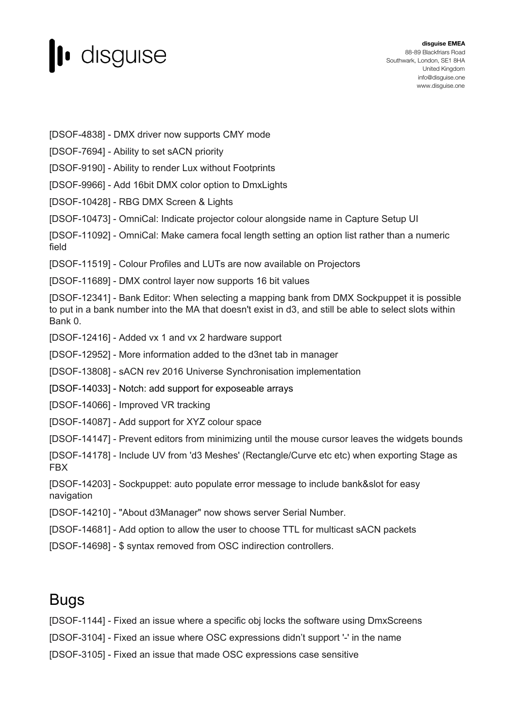

[DSOF-4838] - DMX driver now supports CMY mode

[DSOF-7694] - Ability to set sACN priority

[DSOF-9190] - Ability to render Lux without Footprints

[DSOF-9966] - Add 16bit DMX color option to DmxLights

[DSOF-10428] - RBG DMX Screen & Lights

[DSOF-10473] - OmniCal: Indicate projector colour alongside name in Capture Setup UI

[DSOF-11092] - OmniCal: Make camera focal length setting an option list rather than a numeric field

[DSOF-11519] - Colour Profiles and LUTs are now available on Projectors

[DSOF-11689] - DMX control layer now supports 16 bit values

[DSOF-12341] - Bank Editor: When selecting a mapping bank from DMX Sockpuppet it is possible to put in a bank number into the MA that doesn't exist in d3, and still be able to select slots within Bank 0.

[DSOF-12416] - Added vx 1 and vx 2 hardware support

[DSOF-12952] - More information added to the d3net tab in manager

[DSOF-13808] - sACN rev 2016 Universe Synchronisation implementation

[DSOF-14033] - Notch: add support for exposeable arrays

[DSOF-14066] - Improved VR tracking

[DSOF-14087] - Add support for XYZ colour space

[DSOF-14147] - Prevent editors from minimizing until the mouse cursor leaves the widgets bounds

[DSOF-14178] - Include UV from 'd3 Meshes' (Rectangle/Curve etc etc) when exporting Stage as FBX

[DSOF-14203] - Sockpuppet: auto populate error message to include bank&slot for easy navigation

[DSOF-14210] - "About d3Manager" now shows server Serial Number.

[DSOF-14681] - Add option to allow the user to choose TTL for multicast sACN packets

[DSOF-14698] - \$ syntax removed from OSC indirection controllers.

## Bugs

[DSOF-1144] - Fixed an issue where a specific obj locks the software using DmxScreens

[DSOF-3104] - Fixed an issue where OSC expressions didn't support '-' in the name

[DSOF-3105] - Fixed an issue that made OSC expressions case sensitive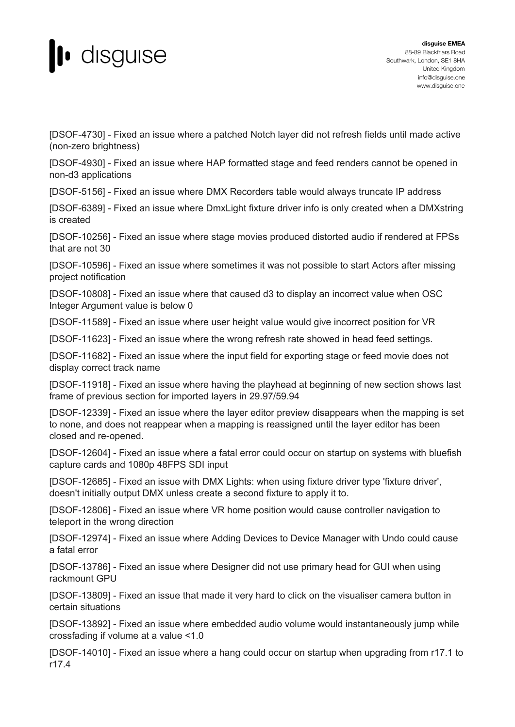

[DSOF-4730] - Fixed an issue where a patched Notch layer did not refresh fields until made active (non-zero brightness)

[DSOF-4930] - Fixed an issue where HAP formatted stage and feed renders cannot be opened in non-d3 applications

[DSOF-5156] - Fixed an issue where DMX Recorders table would always truncate IP address

[DSOF-6389] - Fixed an issue where DmxLight fixture driver info is only created when a DMXstring is created

[DSOF-10256] - Fixed an issue where stage movies produced distorted audio if rendered at FPSs that are not 30

[DSOF-10596] - Fixed an issue where sometimes it was not possible to start Actors after missing project notification

[DSOF-10808] - Fixed an issue where that caused d3 to display an incorrect value when OSC Integer Argument value is below 0

[DSOF-11589] - Fixed an issue where user height value would give incorrect position for VR

[DSOF-11623] - Fixed an issue where the wrong refresh rate showed in head feed settings.

[DSOF-11682] - Fixed an issue where the input field for exporting stage or feed movie does not display correct track name

[DSOF-11918] - Fixed an issue where having the playhead at beginning of new section shows last frame of previous section for imported layers in 29.97/59.94

[DSOF-12339] - Fixed an issue where the layer editor preview disappears when the mapping is set to none, and does not reappear when a mapping is reassigned until the layer editor has been closed and re-opened.

[DSOF-12604] - Fixed an issue where a fatal error could occur on startup on systems with bluefish capture cards and 1080p 48FPS SDI input

[DSOF-12685] - Fixed an issue with DMX Lights: when using fixture driver type 'fixture driver', doesn't initially output DMX unless create a second fixture to apply it to.

[DSOF-12806] - Fixed an issue where VR home position would cause controller navigation to teleport in the wrong direction

[DSOF-12974] - Fixed an issue where Adding Devices to Device Manager with Undo could cause a fatal error

[DSOF-13786] - Fixed an issue where Designer did not use primary head for GUI when using rackmount GPU

[DSOF-13809] - Fixed an issue that made it very hard to click on the visualiser camera button in certain situations

[DSOF-13892] - Fixed an issue where embedded audio volume would instantaneously jump while crossfading if volume at a value <1.0

[DSOF-14010] - Fixed an issue where a hang could occur on startup when upgrading from r17.1 to r17.4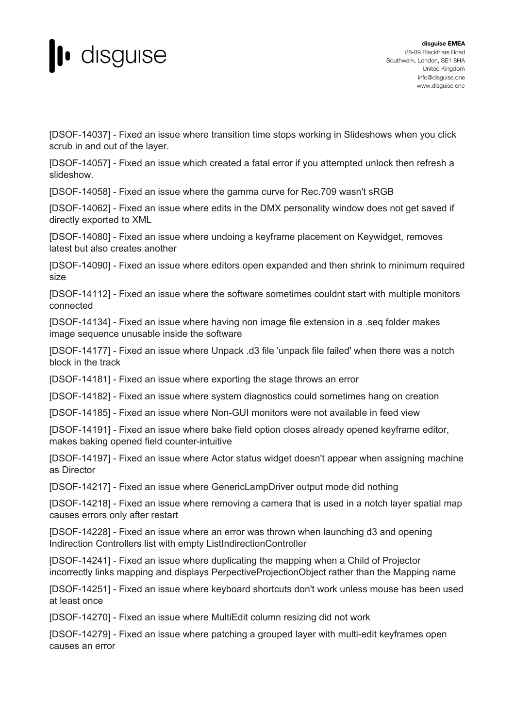

[DSOF-14037] - Fixed an issue where transition time stops working in Slideshows when you click scrub in and out of the layer.

[DSOF-14057] - Fixed an issue which created a fatal error if you attempted unlock then refresh a slideshow.

[DSOF-14058] - Fixed an issue where the gamma curve for Rec.709 wasn't sRGB

[DSOF-14062] - Fixed an issue where edits in the DMX personality window does not get saved if directly exported to XML

[DSOF-14080] - Fixed an issue where undoing a keyframe placement on Keywidget, removes latest but also creates another

[DSOF-14090] - Fixed an issue where editors open expanded and then shrink to minimum required size

[DSOF-14112] - Fixed an issue where the software sometimes couldnt start with multiple monitors connected

[DSOF-14134] - Fixed an issue where having non image file extension in a .seq folder makes image sequence unusable inside the software

[DSOF-14177] - Fixed an issue where Unpack .d3 file 'unpack file failed' when there was a notch block in the track

[DSOF-14181] - Fixed an issue where exporting the stage throws an error

[DSOF-14182] - Fixed an issue where system diagnostics could sometimes hang on creation

[DSOF-14185] - Fixed an issue where Non-GUI monitors were not available in feed view

[DSOF-14191] - Fixed an issue where bake field option closes already opened keyframe editor, makes baking opened field counter-intuitive

[DSOF-14197] - Fixed an issue where Actor status widget doesn't appear when assigning machine as Director

[DSOF-14217] - Fixed an issue where GenericLampDriver output mode did nothing

[DSOF-14218] - Fixed an issue where removing a camera that is used in a notch layer spatial map causes errors only after restart

[DSOF-14228] - Fixed an issue where an error was thrown when launching d3 and opening Indirection Controllers list with empty ListIndirectionController

[DSOF-14241] - Fixed an issue where duplicating the mapping when a Child of Projector incorrectly links mapping and displays PerpectiveProjectionObject rather than the Mapping name

[DSOF-14251] - Fixed an issue where keyboard shortcuts don't work unless mouse has been used at least once

[DSOF-14270] - Fixed an issue where MultiEdit column resizing did not work

[DSOF-14279] - Fixed an issue where patching a grouped layer with multi-edit keyframes open causes an error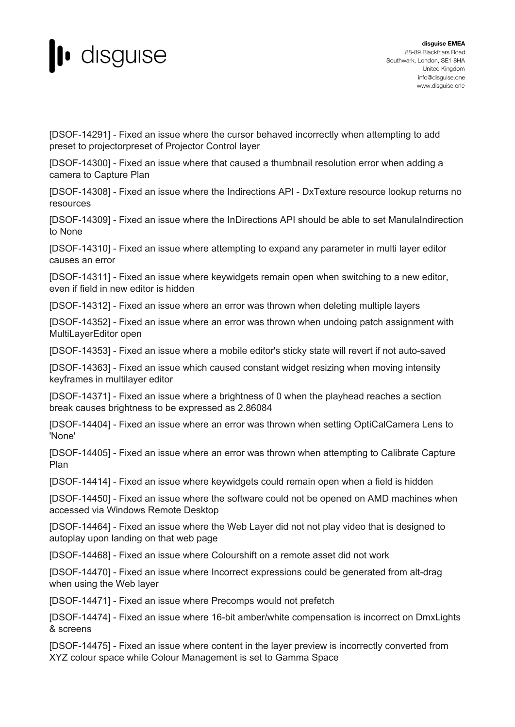

[DSOF-14291] - Fixed an issue where the cursor behaved incorrectly when attempting to add preset to projectorpreset of Projector Control layer

[DSOF-14300] - Fixed an issue where that caused a thumbnail resolution error when adding a camera to Capture Plan

[DSOF-14308] - Fixed an issue where the Indirections API - DxTexture resource lookup returns no resources

[DSOF-14309] - Fixed an issue where the InDirections API should be able to set ManulaIndirection to None

[DSOF-14310] - Fixed an issue where attempting to expand any parameter in multi layer editor causes an error

[DSOF-14311] - Fixed an issue where keywidgets remain open when switching to a new editor, even if field in new editor is hidden

[DSOF-14312] - Fixed an issue where an error was thrown when deleting multiple layers

[DSOF-14352] - Fixed an issue where an error was thrown when undoing patch assignment with MultiLayerEditor open

[DSOF-14353] - Fixed an issue where a mobile editor's sticky state will revert if not auto-saved

[DSOF-14363] - Fixed an issue which caused constant widget resizing when moving intensity keyframes in multilayer editor

[DSOF-14371] - Fixed an issue where a brightness of 0 when the playhead reaches a section break causes brightness to be expressed as 2.86084

[DSOF-14404] - Fixed an issue where an error was thrown when setting OptiCalCamera Lens to 'None'

[DSOF-14405] - Fixed an issue where an error was thrown when attempting to Calibrate Capture Plan

[DSOF-14414] - Fixed an issue where keywidgets could remain open when a field is hidden

[DSOF-14450] - Fixed an issue where the software could not be opened on AMD machines when accessed via Windows Remote Desktop

[DSOF-14464] - Fixed an issue where the Web Layer did not not play video that is designed to autoplay upon landing on that web page

[DSOF-14468] - Fixed an issue where Colourshift on a remote asset did not work

[DSOF-14470] - Fixed an issue where Incorrect expressions could be generated from alt-drag when using the Web layer

[DSOF-14471] - Fixed an issue where Precomps would not prefetch

[DSOF-14474] - Fixed an issue where 16-bit amber/white compensation is incorrect on DmxLights & screens

[DSOF-14475] - Fixed an issue where content in the layer preview is incorrectly converted from XYZ colour space while Colour Management is set to Gamma Space